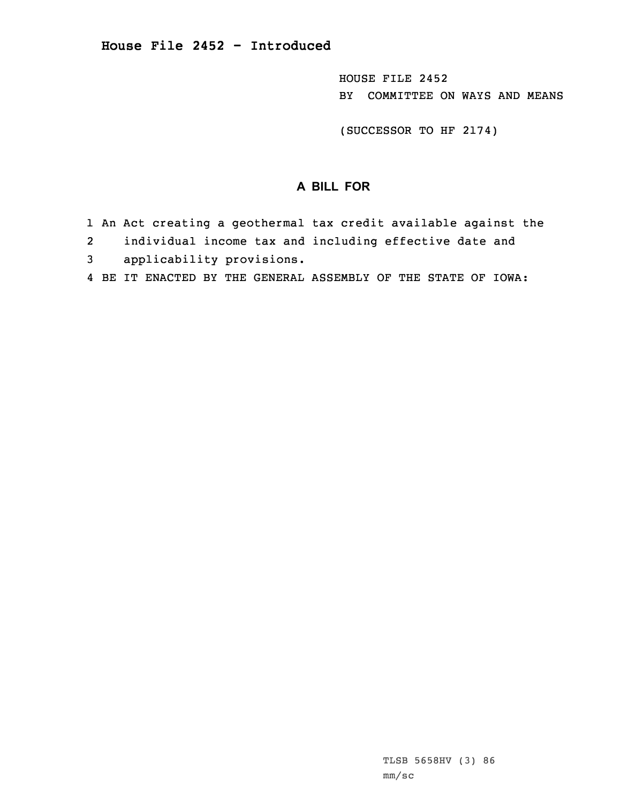HOUSE FILE 2452 BY COMMITTEE ON WAYS AND MEANS

(SUCCESSOR TO HF 2174)

## **A BILL FOR**

- 1 An Act creating <sup>a</sup> geothermal tax credit available against the
- 2individual income tax and including effective date and
- 3 applicability provisions.
- 4 BE IT ENACTED BY THE GENERAL ASSEMBLY OF THE STATE OF IOWA: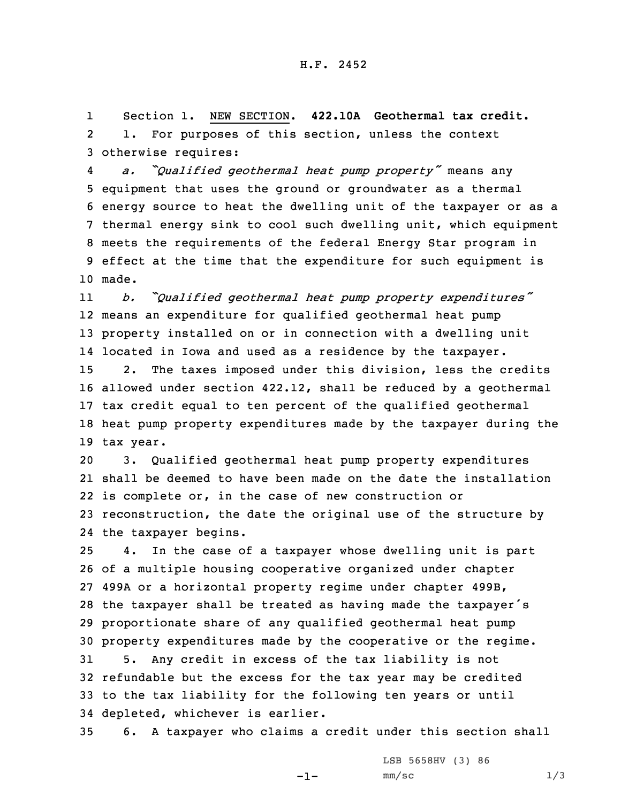1 Section 1. NEW SECTION. **422.10A Geothermal tax credit.** 2 1. For purposes of this section, unless the context 3 otherwise requires:

4 *a. "Qualified geothermal heat pump property"* means any equipment that uses the ground or groundwater as <sup>a</sup> thermal energy source to heat the dwelling unit of the taxpayer or as <sup>a</sup> thermal energy sink to cool such dwelling unit, which equipment meets the requirements of the federal Energy Star program in effect at the time that the expenditure for such equipment is 10 made.

11 *b. "Qualified geothermal heat pump property expenditures"* means an expenditure for qualified geothermal heat pump property installed on or in connection with <sup>a</sup> dwelling unit located in Iowa and used as <sup>a</sup> residence by the taxpayer. 2. The taxes imposed under this division, less the credits allowed under section 422.12, shall be reduced by <sup>a</sup> geothermal tax credit equal to ten percent of the qualified geothermal heat pump property expenditures made by the taxpayer during the tax year.

 3. Qualified geothermal heat pump property expenditures shall be deemed to have been made on the date the installation is complete or, in the case of new construction or reconstruction, the date the original use of the structure by the taxpayer begins.

 4. In the case of <sup>a</sup> taxpayer whose dwelling unit is part of <sup>a</sup> multiple housing cooperative organized under chapter 499A or <sup>a</sup> horizontal property regime under chapter 499B, the taxpayer shall be treated as having made the taxpayer's proportionate share of any qualified geothermal heat pump property expenditures made by the cooperative or the regime. 5. Any credit in excess of the tax liability is not refundable but the excess for the tax year may be credited to the tax liability for the following ten years or until

35 6. <sup>A</sup> taxpayer who claims <sup>a</sup> credit under this section shall

-1-

34 depleted, whichever is earlier.

LSB 5658HV (3) 86  $mm/sc$  1/3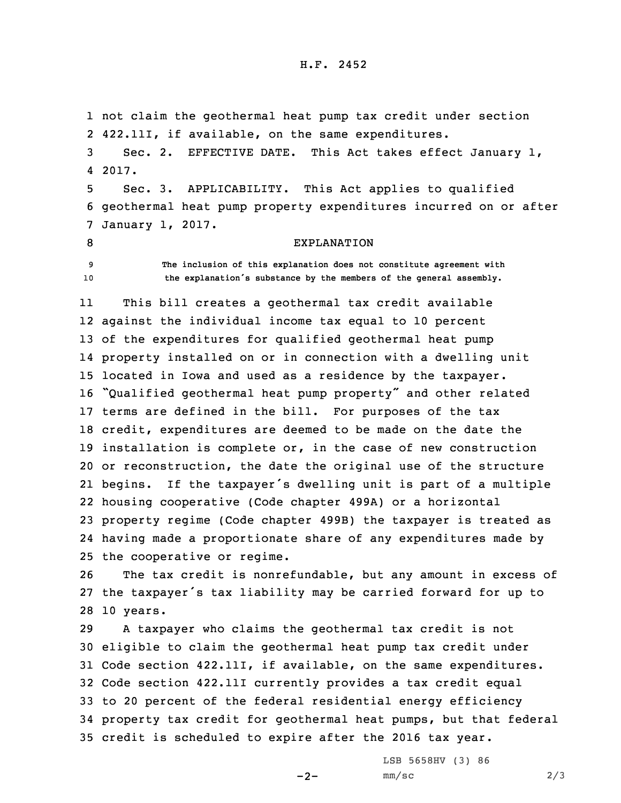not claim the geothermal heat pump tax credit under section 422.11I, if available, on the same expenditures. Sec. 2. EFFECTIVE DATE. This Act takes effect January 1, 4 2017. Sec. 3. APPLICABILITY. This Act applies to qualified geothermal heat pump property expenditures incurred on or after January 1, 2017. 8 EXPLANATION **The inclusion of this explanation does not constitute agreement with the explanation's substance by the members of the general assembly.** 11 This bill creates <sup>a</sup> geothermal tax credit available against the individual income tax equal to 10 percent of the expenditures for qualified geothermal heat pump property installed on or in connection with <sup>a</sup> dwelling unit located in Iowa and used as <sup>a</sup> residence by the taxpayer. "Qualified geothermal heat pump property" and other related terms are defined in the bill. For purposes of the tax credit, expenditures are deemed to be made on the date the installation is complete or, in the case of new construction or reconstruction, the date the original use of the structure begins. If the taxpayer's dwelling unit is part of <sup>a</sup> multiple housing cooperative (Code chapter 499A) or <sup>a</sup> horizontal property regime (Code chapter 499B) the taxpayer is treated as having made <sup>a</sup> proportionate share of any expenditures made by

25 the cooperative or regime.

26 The tax credit is nonrefundable, but any amount in excess of 27 the taxpayer's tax liability may be carried forward for up to 28 10 years.

 <sup>A</sup> taxpayer who claims the geothermal tax credit is not eligible to claim the geothermal heat pump tax credit under Code section 422.11I, if available, on the same expenditures. Code section 422.11I currently provides <sup>a</sup> tax credit equal to 20 percent of the federal residential energy efficiency property tax credit for geothermal heat pumps, but that federal credit is scheduled to expire after the 2016 tax year.

 $-2-$ 

LSB 5658HV (3) 86  $mm/sc$  2/3